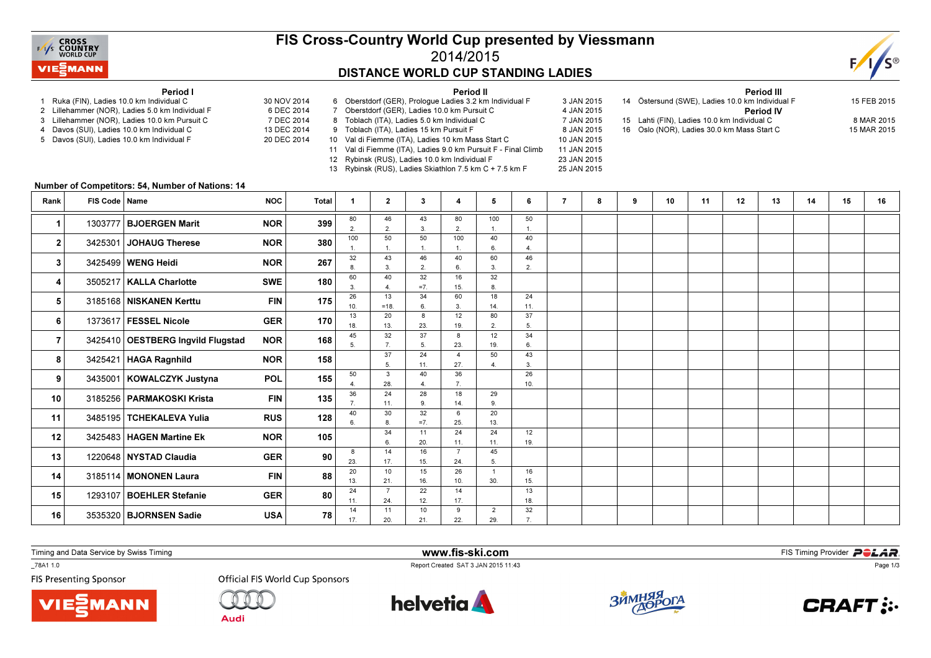

### FIS Cross-Country World Cup presented by Viessmann2014/2015DISTANCE WORLD CUP STANDING LADIES

Period II



#### Period I

- 1 Ruka (FIN), Ladies 10.0 km Individual C 30 NOV 2014
- 2 Lillehammer (NOR), Ladies 5.0 km Individual F
- 3 Lillehammer (NOR), Ladies 10.0 km Pursuit C
- 4 Davos (SUI), Ladies 10.0 km Individual C 5 Davos (SUI), Ladies 10.0 km Individual F
- 6 DEC 2014 7 DEC 2014 13 DEC 2014 20 DEC 2014 7 Oberstdorf (GER), Ladies 10.0 km Pursuit C 8 Toblach (ITA), Ladies 5.0 km Individual C 9 Toblach (ITA), Ladies 15 km Pursuit F 10 Val di Fiemme (ITA), Ladies 10 km Mass Start C
	- 11 Val di Fiemme (ITA), Ladies 9.0 km Pursuit F Final Climb
	- 12 Rybinsk (RUS), Ladies 10.0 km Individual F 23 JAN 2015

13 Rybinsk (RUS), Ladies Skiathlon 7.5 km C + 7.5 km F

6 Oberstdorf (GER), Prologue Ladies 3.2 km Individual F 3 JAN 2015 4 JAN 2015 7 JAN 2015 8 JAN 2015 10 JAN 2015 11 JAN 2015 25 JAN 2015

Period III <sup>14</sup> Östersund (SWE), Ladies 10.0 km Individual F 15 FEB 2015Period IV15 Lahti (FIN), Ladies 10.0 km Individual C 8 MAR 2015 15 MAR 2015 16 Oslo (NOR), Ladies 30.0 km Mass Start C

#### Number of Competitors: 54, Number of Nations: 14

| Rank           | FIS Code   Name |                                   | <b>NOC</b> | Total                    | -1                   | $\mathbf{2}$          | 3              | 4                     | 5         | 6         | 8 | 9 | 10 | 11 | 12 | 13 | 14 | 15 | 16 |
|----------------|-----------------|-----------------------------------|------------|--------------------------|----------------------|-----------------------|----------------|-----------------------|-----------|-----------|---|---|----|----|----|----|----|----|----|
| 1              |                 | 1303777   BJOERGEN Marit          | <b>NOR</b> | 399                      | 80<br>$\overline{2}$ | 46<br>$\overline{2}$  | 43<br>3        | 80<br>2.              | 100       | 50        |   |   |    |    |    |    |    |    |    |
| $\mathbf{2}$   |                 | 3425301 JOHAUG Therese            | <b>NOR</b> | 380                      | 100                  | 50                    | 50             | 100                   | 40        | 40        |   |   |    |    |    |    |    |    |    |
|                |                 |                                   |            |                          | 32                   | 43                    | 46             | 40                    | 6.<br>60  | 46        |   |   |    |    |    |    |    |    |    |
| 3              |                 | 3425499   WENG Heidi              | <b>NOR</b> | 267                      |                      | $\mathbf{3}$          | $\overline{2}$ | 6.                    | 3         | 2.        |   |   |    |    |    |    |    |    |    |
| 4              |                 | 3505217   KALLA Charlotte         | <b>SWE</b> | 180                      | 60<br>3              | 40<br>$\Delta$        | 32<br>$=7$     | 16<br>15.             | 32        |           |   |   |    |    |    |    |    |    |    |
|                |                 |                                   |            |                          | 26                   | 13                    | 34             | 60                    | 18        | 24        |   |   |    |    |    |    |    |    |    |
| 5              |                 | 3185168 NISKANEN Kerttu           |            | 175<br><b>FIN</b>        | 10.                  | $=18.$                | 6.             | 3.                    | 14.       | 11.       |   |   |    |    |    |    |    |    |    |
| 6              |                 | 1373617 FESSEL Nicole             | <b>GER</b> | 170                      | 13<br>18.            | 20<br>13.             | 8<br>23.       | 12<br>19.             | 80<br>2.  | 37        |   |   |    |    |    |    |    |    |    |
|                |                 |                                   |            |                          | 45                   | 32                    | 37             | 8                     | 12        | 34        |   |   |    |    |    |    |    |    |    |
| $\overline{7}$ |                 | 3425410 OESTBERG Ingvild Flugstad | <b>NOR</b> | 168                      | $\sqrt{2}$           | $\overline{7}$        | 5.             | 23.                   | 19.       | 6         |   |   |    |    |    |    |    |    |    |
| 8              |                 | 3425421   HAGA Ragnhild           | <b>NOR</b> | 158<br>155<br><b>POL</b> |                      | 37                    | 24             | $\overline{4}$        | 50        | 43        |   |   |    |    |    |    |    |    |    |
|                |                 |                                   |            |                          | 50                   | 5.<br>3               | 11.<br>40      | 27.<br>36             |           | 3.<br>26  |   |   |    |    |    |    |    |    |    |
| 9              |                 | 3435001 KOWALCZYK Justyna         |            |                          |                      | 28.                   |                |                       |           | 10.       |   |   |    |    |    |    |    |    |    |
| 10             |                 | 3185256   PARMAKOSKI Krista       | <b>FIN</b> | 135                      | 36                   | 24                    | 28             | 18                    | 29        |           |   |   |    |    |    |    |    |    |    |
|                |                 |                                   |            |                          |                      | 11.                   | 9              | 14.                   | 9         |           |   |   |    |    |    |    |    |    |    |
| 11             |                 | 3485195   TCHEKALEVA Yulia        | <b>RUS</b> | 128                      | 40                   | 30<br>8.              | 32<br>$=7$ .   | 6<br>25.              | 20<br>13. |           |   |   |    |    |    |    |    |    |    |
| 12             |                 | 3425483   HAGEN Martine Ek        | <b>NOR</b> | 105                      |                      | 34                    | 11             | 24                    | 24        | 12        |   |   |    |    |    |    |    |    |    |
|                |                 |                                   |            |                          |                      | 6                     | 20.            | 11.<br>$\overline{7}$ | 11.       | 19.       |   |   |    |    |    |    |    |    |    |
| 13             |                 | 1220648 NYSTAD Claudia            | <b>GER</b> | 90                       | 8<br>23.             | 14<br>17.             | 16<br>15.      | 24.                   | 45<br>5.  |           |   |   |    |    |    |    |    |    |    |
| 14             |                 | 3185114 MONONEN Laura             | <b>FIN</b> | 88                       | 20                   | 10                    | 15             | 26                    |           | 16        |   |   |    |    |    |    |    |    |    |
|                |                 |                                   |            |                          | 13.<br>24            | 21.<br>$\overline{7}$ | 16.<br>22      | 10.<br>14             | 30.       | 15.<br>13 |   |   |    |    |    |    |    |    |    |
| 15             | 1293107         | <b>BOEHLER Stefanie</b>           | <b>GER</b> | 80                       | 11.                  | 24.                   | 12.            | 17.                   |           | 18.       |   |   |    |    |    |    |    |    |    |
| 16             |                 | 3535320   BJORNSEN Sadie          | <b>USA</b> | 78                       | 14                   | 11                    | 10             | 9                     | 2         | 32        |   |   |    |    |    |    |    |    |    |
|                |                 |                                   |            |                          | 17.                  | 20.                   | 21.            | 22.                   | 29.       |           |   |   |    |    |    |    |    |    |    |

Timing and Data Service by Swiss Timing

MANN!

\_78A1 1.0

**FIS Presenting Sponsor** 



**Audi** 



www.fis-ski.com

Report Created SAT 3 JAN 2015 11:43



**m**<br>Fist Timing Provider<br>F<sup>11:42</sup>



Page 1/3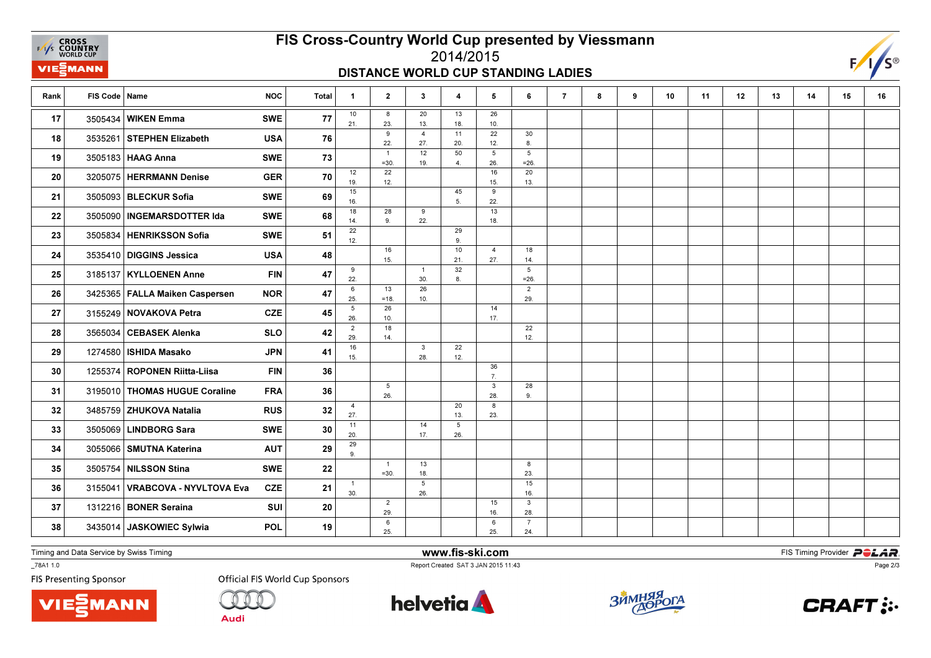**EXAMPLE CROSS**<br>
FAYS **COUNTRY**<br>
WORLD CUP VIEZMANN

## FIS Cross-Country World Cup presented by Viessmann2014/2015

#### DISTANCE WORLD CUP STANDING LADIES



| Rank | FIS Code   Name |                                  | <b>NOC</b> | <b>Total</b> | $\mathbf{1}$          | $\overline{2}$           | $3^{\circ}$            | 4         | 5                      | 6                          | $\overline{7}$ | 8 | 9 | 10 | 11 | 12 | 13 | 14 | 15 | 16 |
|------|-----------------|----------------------------------|------------|--------------|-----------------------|--------------------------|------------------------|-----------|------------------------|----------------------------|----------------|---|---|----|----|----|----|----|----|----|
| 17   | 3505434         | <b>WIKEN Emma</b>                | <b>SWE</b> | 77           | 10<br>21.             | 8<br>23.                 | 20<br>13.              | 13<br>18. | 26<br>10.              |                            |                |   |   |    |    |    |    |    |    |    |
| 18   |                 | 3535261 STEPHEN Elizabeth        | <b>USA</b> | 76           |                       | 9<br>22.                 | $\overline{4}$<br>27.  | 11<br>20. | 22<br>12.              | 30<br>8.                   |                |   |   |    |    |    |    |    |    |    |
| 19   |                 | 3505183   HAAG Anna              | <b>SWE</b> | 73           |                       | $\overline{1}$<br>$=30.$ | 12<br>19.              | 50<br>4.  | $5\phantom{.0}$<br>26. | $5\phantom{.0}$<br>$= 26.$ |                |   |   |    |    |    |    |    |    |    |
| 20   |                 | 3205075 HERRMANN Denise          | <b>GER</b> | 70           | 12<br>19.             | 22<br>12.                |                        |           | 16<br>15.              | 20<br>13.                  |                |   |   |    |    |    |    |    |    |    |
| 21   |                 | 3505093 BLECKUR Sofia            | <b>SWE</b> | 69           | 15<br>16.             |                          |                        | 45<br>5.  | 9<br>22.               |                            |                |   |   |    |    |    |    |    |    |    |
| 22   |                 | 3505090   INGEMARSDOTTER Ida     | <b>SWE</b> | 68           | 18<br>14.             | 28<br>9.                 | 9<br>22.               |           | 13<br>18.              |                            |                |   |   |    |    |    |    |    |    |    |
| 23   |                 | 3505834 HENRIKSSON Sofia         | <b>SWE</b> | 51           | 22<br>12.             |                          |                        | 29<br>9.  |                        |                            |                |   |   |    |    |    |    |    |    |    |
| 24   |                 | 3535410 DIGGINS Jessica          | <b>USA</b> | 48           |                       | 16<br>15.                |                        | 10<br>21. | $\overline{4}$<br>27.  | 18<br>14.                  |                |   |   |    |    |    |    |    |    |    |
| 25   |                 | 3185137   KYLLOENEN Anne         | <b>FIN</b> | 47           | 9<br>22.              |                          | $\overline{1}$<br>30.  | 32<br>8.  |                        | $5\phantom{.0}$<br>$= 26.$ |                |   |   |    |    |    |    |    |    |    |
| 26   |                 | 3425365   FALLA Maiken Caspersen | <b>NOR</b> | 47           | 6<br>25.              | 13                       | 26                     |           |                        | $\overline{2}$<br>29.      |                |   |   |    |    |    |    |    |    |    |
| 27   |                 | 3155249 NOVAKOVA Petra           | <b>CZE</b> | 45           | $5\phantom{.0}$       | $=18.$<br>26             | 10.                    |           | 14                     |                            |                |   |   |    |    |    |    |    |    |    |
| 28   |                 | 3565034 CEBASEK Alenka           | <b>SLO</b> | 42           | 26.<br>$\overline{2}$ | 10.<br>18                |                        |           | 17.                    | 22                         |                |   |   |    |    |    |    |    |    |    |
| 29   |                 | 1274580   ISHIDA Masako          | <b>JPN</b> | 41           | 29.<br>16             | 14.                      | 3                      | 22        |                        | 12.                        |                |   |   |    |    |    |    |    |    |    |
| 30   |                 | 1255374 ROPONEN Riitta-Liisa     | <b>FIN</b> | 36           | 15.                   |                          | 28.                    | 12.       | 36                     |                            |                |   |   |    |    |    |    |    |    |    |
| 31   |                 | 3195010 THOMAS HUGUE Coraline    | <b>FRA</b> | 36           |                       | 5                        |                        |           | 7.<br>$\mathbf{3}$     | 28                         |                |   |   |    |    |    |    |    |    |    |
| 32   |                 | 3485759 ZHUKOVA Natalia          | <b>RUS</b> | 32           | $\overline{4}$        | 26.                      |                        | 20        | 28.<br>8               | 9.                         |                |   |   |    |    |    |    |    |    |    |
| 33   |                 | 3505069 LINDBORG Sara            | <b>SWE</b> | 30           | 27.<br>11             |                          | 14                     | 13.<br>5  | 23.                    |                            |                |   |   |    |    |    |    |    |    |    |
| 34   |                 | 3055066 SMUTNA Katerina          | <b>AUT</b> | 29           | 20.<br>29             |                          | 17.                    | 26.       |                        |                            |                |   |   |    |    |    |    |    |    |    |
| 35   |                 | 3505754 NILSSON Stina            | <b>SWE</b> | 22           | 9.                    | $\overline{1}$           | 13                     |           |                        | 8                          |                |   |   |    |    |    |    |    |    |    |
|      |                 |                                  |            |              | $\mathbf{1}$          | $=30.$                   | 18.<br>$5\phantom{.0}$ |           |                        | 23.<br>15                  |                |   |   |    |    |    |    |    |    |    |
| 36   | 3155041         | VRABCOVA - NYVLTOVA Eva          | <b>CZE</b> | 21           | 30.                   | $\overline{2}$           | 26.                    |           | 15                     | 16.<br>$\mathbf{3}$        |                |   |   |    |    |    |    |    |    |    |
| 37   |                 | 1312216 BONER Seraina            | SUI        | 20           |                       | 29.                      |                        |           | 16.                    | 28.                        |                |   |   |    |    |    |    |    |    |    |
| 38   |                 | 3435014 JASKOWIEC Sylwia         | POL        | 19           |                       | 6<br>25.                 |                        |           | 6<br>25.               | $\overline{7}$<br>24.      |                |   |   |    |    |    |    |    |    |    |

Timing and Data Service by Swiss Timing

VIEZMANN

\_78A1 1.0

**FIS Presenting Sponsor** 

**Official FIS World Cup Sponsors** 

**Audi** 



www.fis-ski.com

Report Created SAT 3 JAN 2015 11:43



**m**<br>Fist Timing Provider<br>F<sup>11:42</sup>



Page 2/3